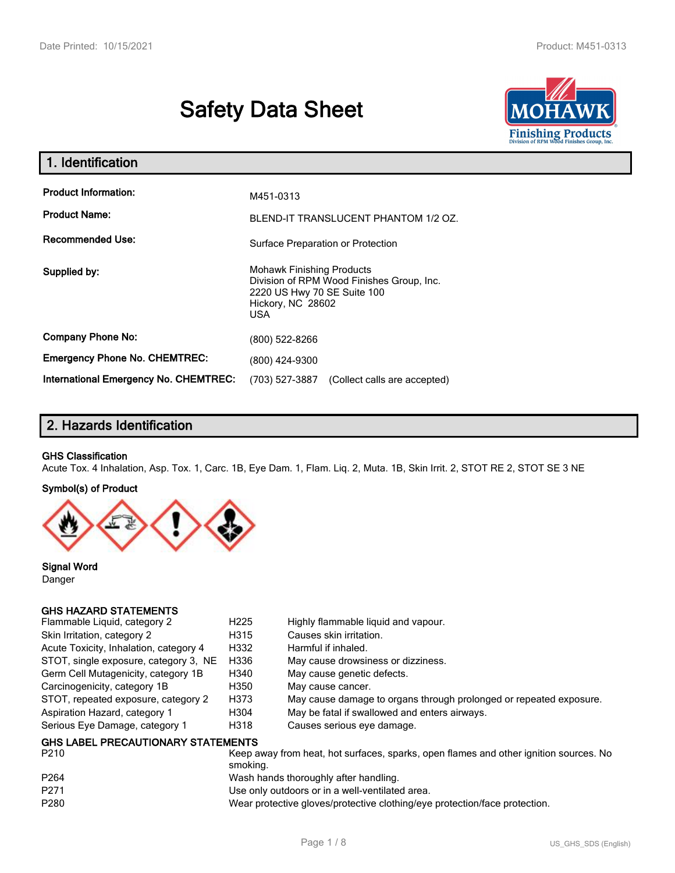# **Safety Data Sheet**



| 1. Identification                            |                                                                                                                                          |  |
|----------------------------------------------|------------------------------------------------------------------------------------------------------------------------------------------|--|
| <b>Product Information:</b>                  | M451-0313                                                                                                                                |  |
| <b>Product Name:</b>                         | BLEND-IT TRANSLUCENT PHANTOM 1/2 OZ.                                                                                                     |  |
| <b>Recommended Use:</b>                      | Surface Preparation or Protection                                                                                                        |  |
| Supplied by:                                 | <b>Mohawk Finishing Products</b><br>Division of RPM Wood Finishes Group, Inc.<br>2220 US Hwy 70 SE Suite 100<br>Hickory, NC 28602<br>USA |  |
| <b>Company Phone No:</b>                     | (800) 522-8266                                                                                                                           |  |
| <b>Emergency Phone No. CHEMTREC:</b>         | (800) 424-9300                                                                                                                           |  |
| <b>International Emergency No. CHEMTREC:</b> | (703) 527-3887<br>(Collect calls are accepted)                                                                                           |  |

## **2. Hazards Identification**

#### **GHS Classification**

Acute Tox. 4 Inhalation, Asp. Tox. 1, Carc. 1B, Eye Dam. 1, Flam. Liq. 2, Muta. 1B, Skin Irrit. 2, STOT RE 2, STOT SE 3 NE

#### **Symbol(s) of Product**



**Signal Word** Danger

#### **GHS HAZARD STATEMENTS**

| Flammable Liquid, category 2                      | H <sub>225</sub> | Highly flammable liquid and vapour.                                |
|---------------------------------------------------|------------------|--------------------------------------------------------------------|
| Skin Irritation, category 2                       | H315             | Causes skin irritation.                                            |
| Acute Toxicity, Inhalation, category 4            | H332             | Harmful if inhaled.                                                |
| STOT, single exposure, category 3, NE             | H336             | May cause drowsiness or dizziness.                                 |
| Germ Cell Mutagenicity, category 1B               | H340             | May cause genetic defects.                                         |
| Carcinogenicity, category 1B                      | H350             | May cause cancer.                                                  |
| STOT, repeated exposure, category 2               | H373             | May cause damage to organs through prolonged or repeated exposure. |
| Aspiration Hazard, category 1                     | H304             | May be fatal if swallowed and enters airways.                      |
| Serious Eye Damage, category 1                    | H318             | Causes serious eye damage.                                         |
| <b>GHS LABEL PRECAUTIONARY STATEMENTS</b><br>---- |                  |                                                                    |

| P210             | Keep away from heat, hot surfaces, sparks, open flames and other ignition sources. No<br>smoking. |
|------------------|---------------------------------------------------------------------------------------------------|
|                  |                                                                                                   |
| P <sub>264</sub> | Wash hands thoroughly after handling.                                                             |
| P <sub>271</sub> | Use only outdoors or in a well-ventilated area.                                                   |
| P280             | Wear protective gloves/protective clothing/eye protection/face protection.                        |
|                  |                                                                                                   |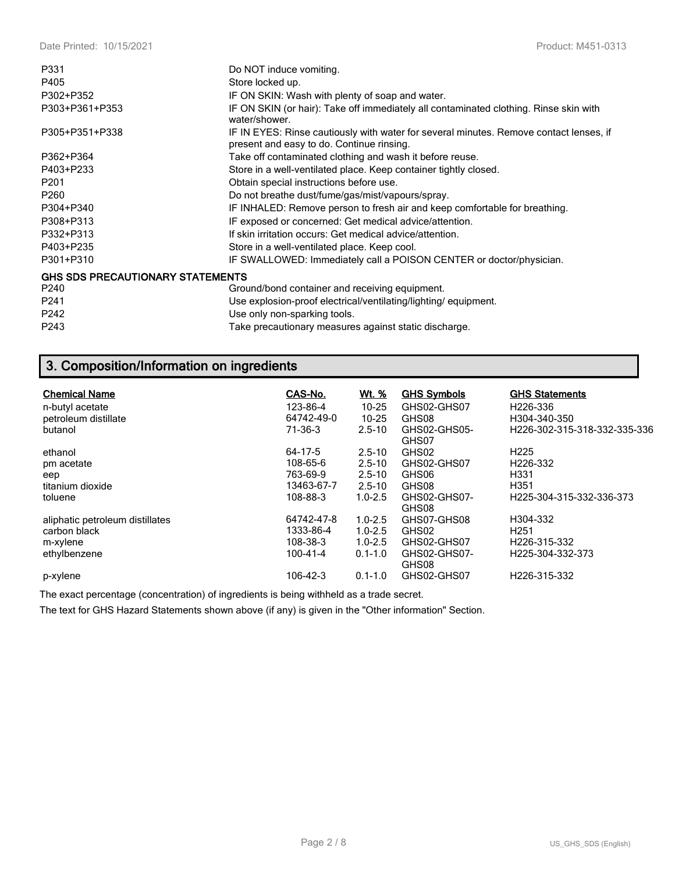| P331                                    | Do NOT induce vomiting.                                                                                                             |  |  |  |
|-----------------------------------------|-------------------------------------------------------------------------------------------------------------------------------------|--|--|--|
| P405                                    | Store locked up.                                                                                                                    |  |  |  |
| P302+P352                               | IF ON SKIN: Wash with plenty of soap and water.                                                                                     |  |  |  |
| P303+P361+P353                          | IF ON SKIN (or hair): Take off immediately all contaminated clothing. Rinse skin with<br>water/shower.                              |  |  |  |
| P305+P351+P338                          | IF IN EYES: Rinse cautiously with water for several minutes. Remove contact lenses, if<br>present and easy to do. Continue rinsing. |  |  |  |
| P362+P364                               | Take off contaminated clothing and wash it before reuse.                                                                            |  |  |  |
| P403+P233                               | Store in a well-ventilated place. Keep container tightly closed.                                                                    |  |  |  |
| P <sub>201</sub>                        | Obtain special instructions before use.                                                                                             |  |  |  |
| P <sub>260</sub>                        | Do not breathe dust/fume/gas/mist/vapours/spray.                                                                                    |  |  |  |
| P304+P340                               | IF INHALED: Remove person to fresh air and keep comfortable for breathing.                                                          |  |  |  |
| P308+P313                               | IF exposed or concerned: Get medical advice/attention.                                                                              |  |  |  |
| P332+P313                               | If skin irritation occurs: Get medical advice/attention.                                                                            |  |  |  |
| P403+P235                               | Store in a well-ventilated place. Keep cool.                                                                                        |  |  |  |
| P301+P310                               | IF SWALLOWED: Immediately call a POISON CENTER or doctor/physician.                                                                 |  |  |  |
| <b>GHS SDS PRECAUTIONARY STATEMENTS</b> |                                                                                                                                     |  |  |  |
| P240                                    | Ground/bond container and receiving equipment.                                                                                      |  |  |  |
| P <sub>241</sub>                        | Use explosion-proof electrical/ventilating/lighting/equipment.                                                                      |  |  |  |
| P242                                    | Use only non-sparking tools.                                                                                                        |  |  |  |
| P243                                    | Take precautionary measures against static discharge.                                                                               |  |  |  |

## **3. Composition/Information on ingredients**

| <b>Chemical Name</b><br>n-butyl acetate<br>petroleum distillate<br>butanol | CAS-No.<br>123-86-4<br>64742-49-0<br>71-36-3 | <u>Wt. %</u><br>$10 - 25$<br>$10 - 25$<br>$2.5 - 10$ | <b>GHS Symbols</b><br>GHS02-GHS07<br>GHS08<br>GHS02-GHS05-<br>GHS07 | <b>GHS Statements</b><br>H <sub>226</sub> -336<br>H304-340-350<br>H <sub>226</sub> -302-315-318-332-335-336 |
|----------------------------------------------------------------------------|----------------------------------------------|------------------------------------------------------|---------------------------------------------------------------------|-------------------------------------------------------------------------------------------------------------|
| ethanol                                                                    | $64 - 17 - 5$                                | $2.5 - 10$                                           | GHS02                                                               | H <sub>225</sub>                                                                                            |
| pm acetate                                                                 | 108-65-6                                     | $2.5 - 10$                                           | GHS02-GHS07                                                         | H <sub>226</sub> -332                                                                                       |
| eep                                                                        | 763-69-9                                     | $2.5 - 10$                                           | GHS06                                                               | H <sub>331</sub>                                                                                            |
| titanium dioxide                                                           | 13463-67-7                                   | $2.5 - 10$                                           | GHS08                                                               | H <sub>351</sub>                                                                                            |
| toluene                                                                    | 108-88-3                                     | $1.0 - 2.5$                                          | GHS02-GHS07-<br>GHS08                                               | H225-304-315-332-336-373                                                                                    |
| aliphatic petroleum distillates                                            | 64742-47-8                                   | $1.0 - 2.5$                                          | GHS07-GHS08                                                         | H304-332                                                                                                    |
| carbon black                                                               | 1333-86-4                                    | $1.0 - 2.5$                                          | GHS02                                                               | H <sub>251</sub>                                                                                            |
| m-xylene                                                                   | 108-38-3                                     | $1.0 - 2.5$                                          | GHS02-GHS07                                                         | H226-315-332                                                                                                |
| ethylbenzene                                                               | $100 - 41 - 4$                               | $0.1 - 1.0$                                          | GHS02-GHS07-<br>GHS08                                               | H <sub>225</sub> -304-332-373                                                                               |
| p-xylene                                                                   | 106-42-3                                     | $0.1 - 1.0$                                          | GHS02-GHS07                                                         | H <sub>226</sub> -315-332                                                                                   |

The exact percentage (concentration) of ingredients is being withheld as a trade secret.

The text for GHS Hazard Statements shown above (if any) is given in the "Other information" Section.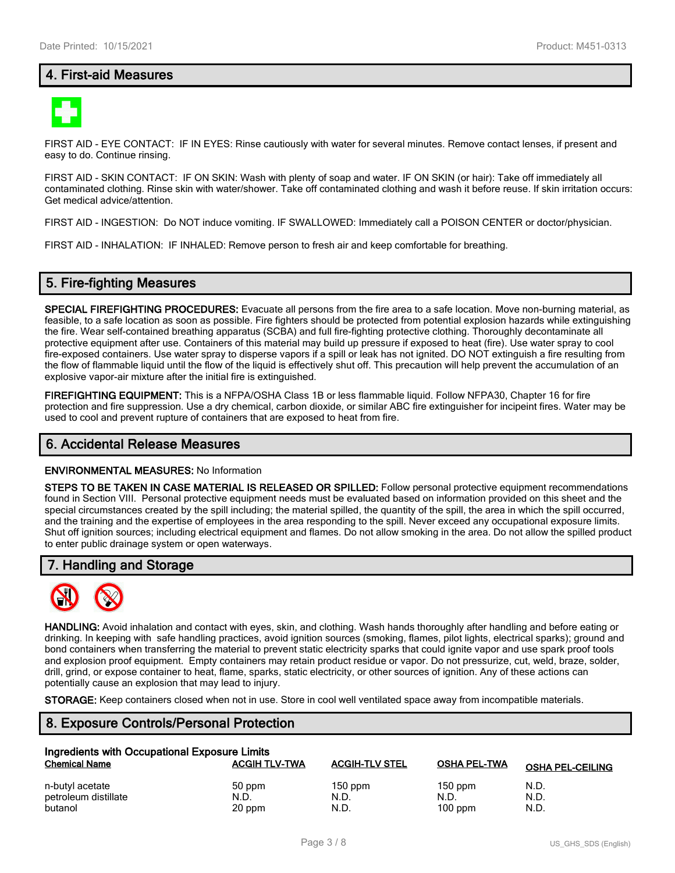## **4. First-aid Measures**



FIRST AID - EYE CONTACT: IF IN EYES: Rinse cautiously with water for several minutes. Remove contact lenses, if present and easy to do. Continue rinsing.

FIRST AID - SKIN CONTACT: IF ON SKIN: Wash with plenty of soap and water. IF ON SKIN (or hair): Take off immediately all contaminated clothing. Rinse skin with water/shower. Take off contaminated clothing and wash it before reuse. If skin irritation occurs: Get medical advice/attention.

FIRST AID - INGESTION: Do NOT induce vomiting. IF SWALLOWED: Immediately call a POISON CENTER or doctor/physician.

FIRST AID - INHALATION: IF INHALED: Remove person to fresh air and keep comfortable for breathing.

#### **5. Fire-fighting Measures**

**SPECIAL FIREFIGHTING PROCEDURES:** Evacuate all persons from the fire area to a safe location. Move non-burning material, as feasible, to a safe location as soon as possible. Fire fighters should be protected from potential explosion hazards while extinguishing the fire. Wear self-contained breathing apparatus (SCBA) and full fire-fighting protective clothing. Thoroughly decontaminate all protective equipment after use. Containers of this material may build up pressure if exposed to heat (fire). Use water spray to cool fire-exposed containers. Use water spray to disperse vapors if a spill or leak has not ignited. DO NOT extinguish a fire resulting from the flow of flammable liquid until the flow of the liquid is effectively shut off. This precaution will help prevent the accumulation of an explosive vapor-air mixture after the initial fire is extinguished.

**FIREFIGHTING EQUIPMENT:** This is a NFPA/OSHA Class 1B or less flammable liquid. Follow NFPA30, Chapter 16 for fire protection and fire suppression. Use a dry chemical, carbon dioxide, or similar ABC fire extinguisher for incipeint fires. Water may be used to cool and prevent rupture of containers that are exposed to heat from fire.

#### **6. Accidental Release Measures**

#### **ENVIRONMENTAL MEASURES:** No Information

**STEPS TO BE TAKEN IN CASE MATERIAL IS RELEASED OR SPILLED:** Follow personal protective equipment recommendations found in Section VIII. Personal protective equipment needs must be evaluated based on information provided on this sheet and the special circumstances created by the spill including; the material spilled, the quantity of the spill, the area in which the spill occurred, and the training and the expertise of employees in the area responding to the spill. Never exceed any occupational exposure limits. Shut off ignition sources; including electrical equipment and flames. Do not allow smoking in the area. Do not allow the spilled product to enter public drainage system or open waterways.

#### **7. Handling and Storage**



**HANDLING:** Avoid inhalation and contact with eyes, skin, and clothing. Wash hands thoroughly after handling and before eating or drinking. In keeping with safe handling practices, avoid ignition sources (smoking, flames, pilot lights, electrical sparks); ground and bond containers when transferring the material to prevent static electricity sparks that could ignite vapor and use spark proof tools and explosion proof equipment. Empty containers may retain product residue or vapor. Do not pressurize, cut, weld, braze, solder, drill, grind, or expose container to heat, flame, sparks, static electricity, or other sources of ignition. Any of these actions can potentially cause an explosion that may lead to injury.

**STORAGE:** Keep containers closed when not in use. Store in cool well ventilated space away from incompatible materials.

#### **8. Exposure Controls/Personal Protection**

| Ingredients with Occupational Exposure Limits |                      |                       |                     |                         |  |
|-----------------------------------------------|----------------------|-----------------------|---------------------|-------------------------|--|
| <b>Chemical Name</b>                          | <b>ACGIH TLV-TWA</b> | <b>ACGIH-TLV STEL</b> | <b>OSHA PEL-TWA</b> | <b>OSHA PEL-CEILING</b> |  |
| n-butyl acetate                               | 50 ppm               | $150$ ppm             | $150$ ppm           | N.D.                    |  |
| petroleum distillate                          | N.D.                 | N.D.                  | N.D.                | N.D.                    |  |
| butanol                                       | 20 ppm               | N.D.                  | $100$ ppm           | N.D.                    |  |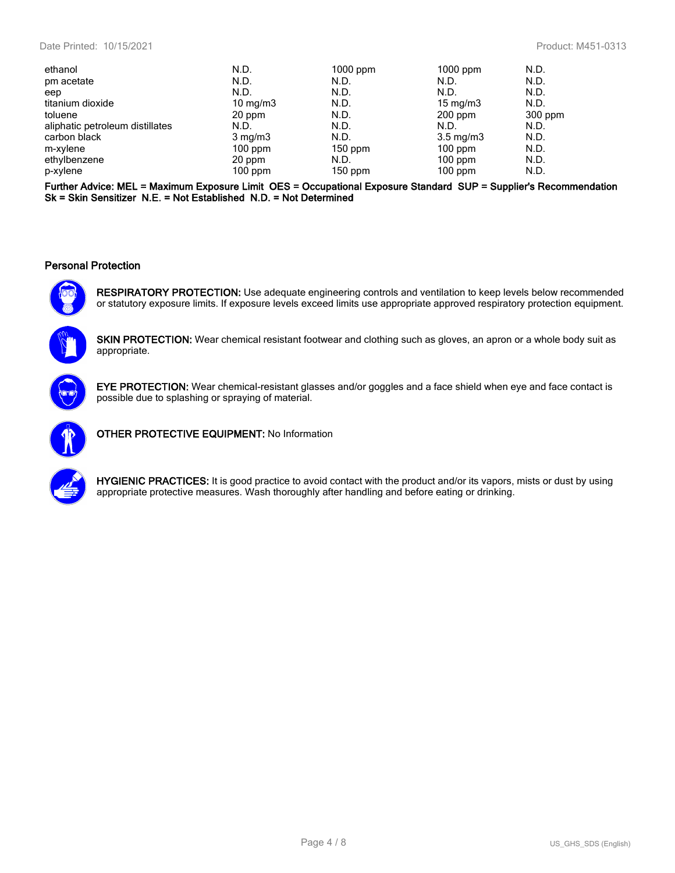| ethanol                         | N.D.              | $1000$ ppm | $1000$ ppm         | N.D.      |
|---------------------------------|-------------------|------------|--------------------|-----------|
| pm acetate                      | N.D.              | N.D.       | N.D.               | N.D.      |
| eep                             | N.D.              | N.D.       | N.D.               | N.D.      |
| titanium dioxide                | $10 \text{ mg/m}$ | N.D.       | $15 \text{ mg/m}$  | N.D.      |
| toluene                         | 20 ppm            | N.D.       | $200$ ppm          | $300$ ppm |
| aliphatic petroleum distillates | N.D.              | N.D.       | N.D.               | N.D.      |
| carbon black                    | $3 \text{ mg/m}$  | N.D.       | $3.5 \text{ mg/m}$ | N.D.      |
| m-xylene                        | $100$ ppm         | $150$ ppm  | $100$ ppm          | N.D.      |
| ethylbenzene                    | 20 ppm            | N.D.       | $100$ ppm          | N.D.      |
| p-xylene                        | $100$ ppm         | $150$ ppm  | $100$ ppm          | N.D.      |

**Further Advice: MEL = Maximum Exposure Limit OES = Occupational Exposure Standard SUP = Supplier's Recommendation Sk = Skin Sensitizer N.E. = Not Established N.D. = Not Determined**

#### **Personal Protection**



**RESPIRATORY PROTECTION:** Use adequate engineering controls and ventilation to keep levels below recommended or statutory exposure limits. If exposure levels exceed limits use appropriate approved respiratory protection equipment.



**SKIN PROTECTION:** Wear chemical resistant footwear and clothing such as gloves, an apron or a whole body suit as appropriate.



**EYE PROTECTION:** Wear chemical-resistant glasses and/or goggles and a face shield when eye and face contact is possible due to splashing or spraying of material.



**OTHER PROTECTIVE EQUIPMENT:** No Information



**HYGIENIC PRACTICES:** It is good practice to avoid contact with the product and/or its vapors, mists or dust by using appropriate protective measures. Wash thoroughly after handling and before eating or drinking.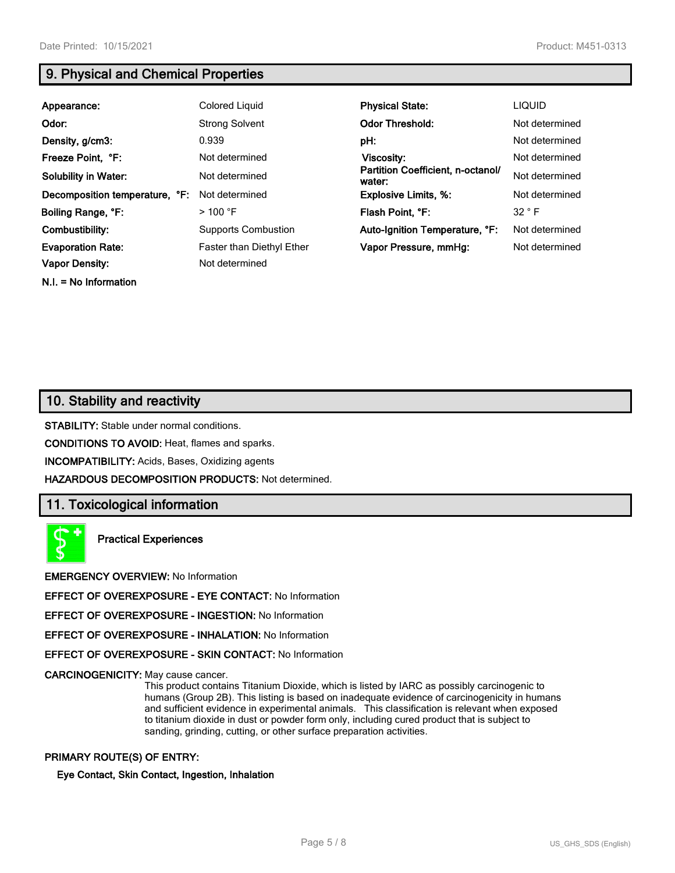**N.I. = No Information**

## **9. Physical and Chemical Properties**

| Appearance:                    | Colored Liquid                   | <b>Physical State:</b>                      | <b>LIQUID</b>  |
|--------------------------------|----------------------------------|---------------------------------------------|----------------|
| Odor:                          | <b>Strong Solvent</b>            | <b>Odor Threshold:</b>                      | Not determined |
| Density, g/cm3:                | 0.939                            | pH:                                         | Not determined |
| Freeze Point, °F:              | Not determined                   | Viscosity:                                  | Not determined |
| <b>Solubility in Water:</b>    | Not determined                   | Partition Coefficient, n-octanol/<br>water: | Not determined |
| Decomposition temperature, °F: | Not determined                   | <b>Explosive Limits, %:</b>                 | Not determined |
| Boiling Range, °F:             | $>$ 100 °F                       | Flash Point, °F:                            | 32 ° F         |
| Combustibility:                | <b>Supports Combustion</b>       | Auto-Ignition Temperature, °F:              | Not determined |
| <b>Evaporation Rate:</b>       | <b>Faster than Diethyl Ether</b> | Vapor Pressure, mmHg:                       | Not determined |
| <b>Vapor Density:</b>          | Not determined                   |                                             |                |

## **10. Stability and reactivity**

**STABILITY:** Stable under normal conditions.

**CONDITIONS TO AVOID:** Heat, flames and sparks.

**INCOMPATIBILITY:** Acids, Bases, Oxidizing agents

**HAZARDOUS DECOMPOSITION PRODUCTS:** Not determined.

#### **11. Toxicological information**

**Practical Experiences**

**EMERGENCY OVERVIEW:** No Information

**EFFECT OF OVEREXPOSURE - EYE CONTACT:** No Information

**EFFECT OF OVEREXPOSURE - INGESTION:** No Information

**EFFECT OF OVEREXPOSURE - INHALATION:** No Information

**EFFECT OF OVEREXPOSURE - SKIN CONTACT:** No Information

**CARCINOGENICITY:** May cause cancer.

This product contains Titanium Dioxide, which is listed by IARC as possibly carcinogenic to humans (Group 2B). This listing is based on inadequate evidence of carcinogenicity in humans and sufficient evidence in experimental animals. This classification is relevant when exposed to titanium dioxide in dust or powder form only, including cured product that is subject to sanding, grinding, cutting, or other surface preparation activities.

#### **PRIMARY ROUTE(S) OF ENTRY:**

**Eye Contact, Skin Contact, Ingestion, Inhalation**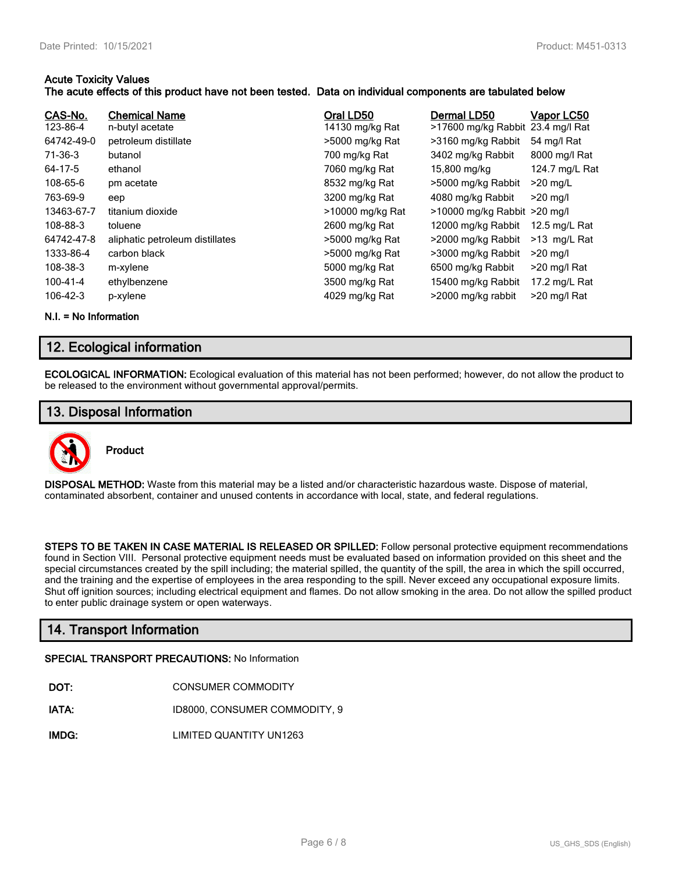#### **Acute Toxicity Values**

#### **The acute effects of this product have not been tested. Data on individual components are tabulated below**

| CAS-No.<br>123-86-4<br>64742-49-0<br>71-36-3<br>64-17-5<br>108-65-6<br>763-69-9<br>13463-67-7 | <b>Chemical Name</b><br>n-butyl acetate<br>petroleum distillate<br>butanol<br>ethanol<br>pm acetate<br>eep<br>titanium dioxide | Oral LD50<br>14130 mg/kg Rat<br>>5000 mg/kg Rat<br>700 mg/kg Rat<br>7060 mg/kg Rat<br>8532 mg/kg Rat<br>3200 mg/kg Rat<br>>10000 mg/kg Rat | Dermal LD50<br>>17600 mg/kg Rabbit<br>>3160 mg/kg Rabbit<br>3402 mg/kg Rabbit<br>15,800 mg/kg<br>>5000 mg/kg Rabbit<br>4080 mg/kg Rabbit<br>$>10000$ mg/kg Rabbit $>20$ mg/l | Vapor LC50<br>23.4 mg/l Rat<br>54 mg/l Rat<br>8000 mg/l Rat<br>124.7 mg/L Rat<br>$>20$ mg/L<br>$>20$ ma/l |
|-----------------------------------------------------------------------------------------------|--------------------------------------------------------------------------------------------------------------------------------|--------------------------------------------------------------------------------------------------------------------------------------------|------------------------------------------------------------------------------------------------------------------------------------------------------------------------------|-----------------------------------------------------------------------------------------------------------|
| 108-88-3                                                                                      | toluene                                                                                                                        | 2600 mg/kg Rat                                                                                                                             | 12000 mg/kg Rabbit                                                                                                                                                           | 12.5 mg/L Rat                                                                                             |
| 64742-47-8                                                                                    | aliphatic petroleum distillates                                                                                                | >5000 mg/kg Rat                                                                                                                            | >2000 mg/kg Rabbit                                                                                                                                                           | >13 mg/L Rat                                                                                              |
| 1333-86-4                                                                                     | carbon black                                                                                                                   | >5000 mg/kg Rat                                                                                                                            | >3000 mg/kg Rabbit                                                                                                                                                           | $>20$ mg/l                                                                                                |
| 108-38-3                                                                                      | m-xylene                                                                                                                       | 5000 mg/kg Rat                                                                                                                             | 6500 mg/kg Rabbit                                                                                                                                                            | >20 mg/l Rat                                                                                              |
| 100-41-4                                                                                      | ethylbenzene                                                                                                                   | 3500 mg/kg Rat                                                                                                                             | 15400 mg/kg Rabbit                                                                                                                                                           | 17.2 mg/L Rat                                                                                             |
| 106-42-3                                                                                      | p-xylene                                                                                                                       | 4029 mg/kg Rat                                                                                                                             | >2000 mg/kg rabbit                                                                                                                                                           | >20 mg/l Rat                                                                                              |

**N.I. = No Information**

## **12. Ecological information**

**ECOLOGICAL INFORMATION:** Ecological evaluation of this material has not been performed; however, do not allow the product to be released to the environment without governmental approval/permits.

## **13. Disposal Information**



**DISPOSAL METHOD:** Waste from this material may be a listed and/or characteristic hazardous waste. Dispose of material, contaminated absorbent, container and unused contents in accordance with local, state, and federal regulations.

**STEPS TO BE TAKEN IN CASE MATERIAL IS RELEASED OR SPILLED:** Follow personal protective equipment recommendations found in Section VIII. Personal protective equipment needs must be evaluated based on information provided on this sheet and the special circumstances created by the spill including; the material spilled, the quantity of the spill, the area in which the spill occurred, and the training and the expertise of employees in the area responding to the spill. Never exceed any occupational exposure limits. Shut off ignition sources; including electrical equipment and flames. Do not allow smoking in the area. Do not allow the spilled product to enter public drainage system or open waterways.

## **14. Transport Information**

#### **SPECIAL TRANSPORT PRECAUTIONS:** No Information

- **IATA:** ID8000, CONSUMER COMMODITY, 9
- **IMDG:** LIMITED QUANTITY UN1263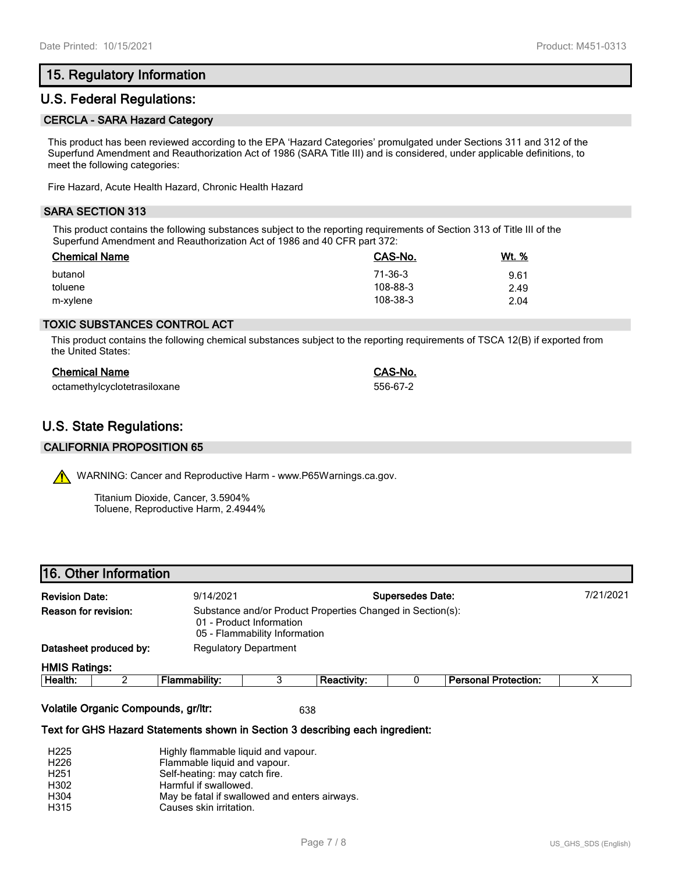## **15. Regulatory Information**

## **U.S. Federal Regulations:**

#### **CERCLA - SARA Hazard Category**

This product has been reviewed according to the EPA 'Hazard Categories' promulgated under Sections 311 and 312 of the Superfund Amendment and Reauthorization Act of 1986 (SARA Title III) and is considered, under applicable definitions, to meet the following categories:

Fire Hazard, Acute Health Hazard, Chronic Health Hazard

#### **SARA SECTION 313**

This product contains the following substances subject to the reporting requirements of Section 313 of Title III of the Superfund Amendment and Reauthorization Act of 1986 and 40 CFR part 372:

| <b>Chemical Name</b> | CAS-No.  | Wt. % |
|----------------------|----------|-------|
| butanol              | 71-36-3  | 9.61  |
| toluene              | 108-88-3 | 2.49  |
| m-xylene             | 108-38-3 | 2.04  |

#### **TOXIC SUBSTANCES CONTROL ACT**

This product contains the following chemical substances subject to the reporting requirements of TSCA 12(B) if exported from the United States:

| <b>Chemical Name</b>         | <b>CAS-No.</b> |
|------------------------------|----------------|
| octamethylcyclotetrasiloxane | 556-67-2       |

## **U.S. State Regulations:**

#### **CALIFORNIA PROPOSITION 65**

WARNING: Cancer and Reproductive Harm - www.P65Warnings.ca.gov.

Titanium Dioxide, Cancer, 3.5904% Toluene, Reproductive Harm, 2.4944%

#### **16. Other Information**

| <b>Revision Date:</b>     | 9/14/2021                                                                                                               |                              |                                  | <b>Supersedes Date:</b> |                      | 7/21/2021 |
|---------------------------|-------------------------------------------------------------------------------------------------------------------------|------------------------------|----------------------------------|-------------------------|----------------------|-----------|
| Reason for revision:      | Substance and/or Product Properties Changed in Section(s):<br>01 - Product Information<br>05 - Flammability Information |                              |                                  |                         |                      |           |
| Datasheet produced by:    |                                                                                                                         | <b>Regulatory Department</b> |                                  |                         |                      |           |
| <b>HMIS Ratings:</b>      |                                                                                                                         |                              |                                  |                         |                      |           |
| <b>International</b><br>◠ | The compact of the company                                                                                              | ົ                            | $\mathbf{R}$ is a set of the set |                         | Besseyed Backerstown | $\lambda$ |

| He<br>.<br>яш | .<br>.<br>- -<br>ю | ----- | <br>---<br>.<br>m<br>vuor. |  |
|---------------|--------------------|-------|----------------------------|--|
|               |                    |       |                            |  |

**Volatile Organic Compounds, gr/ltr:** 638

**Text for GHS Hazard Statements shown in Section 3 describing each ingredient:**

| Highly flammable liquid and vapour.           |
|-----------------------------------------------|
| Flammable liquid and vapour.                  |
| Self-heating: may catch fire.                 |
| Harmful if swallowed.                         |
| May be fatal if swallowed and enters airways. |
| Causes skin irritation.                       |
|                                               |